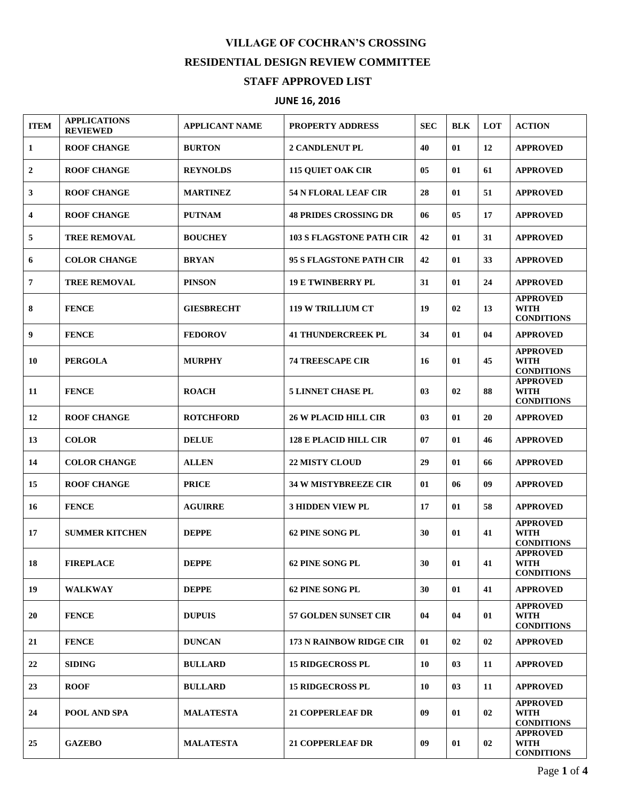## **VILLAGE OF COCHRAN'S CROSSING RESIDENTIAL DESIGN REVIEW COMMITTEE STAFF APPROVED LIST**

## **JUNE 16, 2016**

| <b>ITEM</b> | <b>APPLICATIONS</b><br><b>REVIEWED</b> | <b>APPLICANT NAME</b> | <b>PROPERTY ADDRESS</b>         | <b>SEC</b> | <b>BLK</b> | LOT | <b>ACTION</b>                                       |
|-------------|----------------------------------------|-----------------------|---------------------------------|------------|------------|-----|-----------------------------------------------------|
| 1           | <b>ROOF CHANGE</b>                     | <b>BURTON</b>         | <b>2 CANDLENUT PL</b>           | 40         | 01         | 12  | <b>APPROVED</b>                                     |
| 2           | <b>ROOF CHANGE</b>                     | <b>REYNOLDS</b>       | <b>115 QUIET OAK CIR</b>        | 05         | 01         | 61  | <b>APPROVED</b>                                     |
| 3           | <b>ROOF CHANGE</b>                     | <b>MARTINEZ</b>       | <b>54 N FLORAL LEAF CIR</b>     | 28         | 01         | 51  | <b>APPROVED</b>                                     |
| 4           | <b>ROOF CHANGE</b>                     | <b>PUTNAM</b>         | <b>48 PRIDES CROSSING DR</b>    | 06         | 05         | 17  | <b>APPROVED</b>                                     |
| 5           | <b>TREE REMOVAL</b>                    | <b>BOUCHEY</b>        | <b>103 S FLAGSTONE PATH CIR</b> | 42         | 01         | 31  | <b>APPROVED</b>                                     |
| 6           | <b>COLOR CHANGE</b>                    | <b>BRYAN</b>          | 95 S FLAGSTONE PATH CIR         | 42         | 01         | 33  | <b>APPROVED</b>                                     |
| 7           | <b>TREE REMOVAL</b>                    | <b>PINSON</b>         | <b>19 E TWINBERRY PL</b>        | 31         | 01         | 24  | <b>APPROVED</b>                                     |
| 8           | <b>FENCE</b>                           | <b>GIESBRECHT</b>     | <b>119 W TRILLIUM CT</b>        | 19         | 02         | 13  | <b>APPROVED</b><br><b>WITH</b><br><b>CONDITIONS</b> |
| 9           | <b>FENCE</b>                           | <b>FEDOROV</b>        | <b>41 THUNDERCREEK PL</b>       | 34         | 01         | 04  | <b>APPROVED</b>                                     |
| 10          | <b>PERGOLA</b>                         | <b>MURPHY</b>         | <b>74 TREESCAPE CIR</b>         | 16         | 01         | 45  | <b>APPROVED</b><br><b>WITH</b><br><b>CONDITIONS</b> |
| 11          | <b>FENCE</b>                           | <b>ROACH</b>          | <b>5 LINNET CHASE PL</b>        | 03         | 02         | 88  | <b>APPROVED</b><br><b>WITH</b><br><b>CONDITIONS</b> |
| 12          | <b>ROOF CHANGE</b>                     | <b>ROTCHFORD</b>      | <b>26 W PLACID HILL CIR</b>     | 03         | 01         | 20  | <b>APPROVED</b>                                     |
| 13          | <b>COLOR</b>                           | <b>DELUE</b>          | <b>128 E PLACID HILL CIR</b>    | 07         | 01         | 46  | <b>APPROVED</b>                                     |
| 14          | <b>COLOR CHANGE</b>                    | <b>ALLEN</b>          | <b>22 MISTY CLOUD</b>           | 29         | 01         | 66  | <b>APPROVED</b>                                     |
| 15          | <b>ROOF CHANGE</b>                     | <b>PRICE</b>          | <b>34 W MISTYBREEZE CIR</b>     | 01         | 06         | 09  | <b>APPROVED</b>                                     |
| 16          | <b>FENCE</b>                           | <b>AGUIRRE</b>        | <b>3 HIDDEN VIEW PL</b>         | 17         | 01         | 58  | <b>APPROVED</b>                                     |
| 17          | <b>SUMMER KITCHEN</b>                  | <b>DEPPE</b>          | 62 PINE SONG PL                 | 30         | 01         | 41  | <b>APPROVED</b><br><b>WITH</b><br><b>CONDITIONS</b> |
| 18          | <b>FIREPLACE</b>                       | <b>DEPPE</b>          | 62 PINE SONG PL                 | 30         | 01         | 41  | <b>APPROVED</b><br><b>WITH</b><br><b>CONDITIONS</b> |
| 19          | <b>WALKWAY</b>                         | <b>DEPPE</b>          | 62 PINE SONG PL                 | 30         | 01         | 41  | <b>APPROVED</b>                                     |
| 20          | <b>FENCE</b>                           | <b>DUPUIS</b>         | <b>57 GOLDEN SUNSET CIR</b>     | 04         | 04         | 01  | <b>APPROVED</b><br><b>WITH</b><br><b>CONDITIONS</b> |
| 21          | <b>FENCE</b>                           | <b>DUNCAN</b>         | <b>173 N RAINBOW RIDGE CIR</b>  | 01         | 02         | 02  | <b>APPROVED</b>                                     |
| 22          | <b>SIDING</b>                          | <b>BULLARD</b>        | <b>15 RIDGECROSS PL</b>         | 10         | 03         | 11  | <b>APPROVED</b>                                     |
| 23          | <b>ROOF</b>                            | <b>BULLARD</b>        | <b>15 RIDGECROSS PL</b>         | 10         | 03         | 11  | <b>APPROVED</b>                                     |
| 24          | POOL AND SPA                           | <b>MALATESTA</b>      | <b>21 COPPERLEAF DR</b>         | 09         | 01         | 02  | <b>APPROVED</b><br><b>WITH</b><br><b>CONDITIONS</b> |
| 25          | <b>GAZEBO</b>                          | <b>MALATESTA</b>      | <b>21 COPPERLEAF DR</b>         | 09         | 01         | 02  | <b>APPROVED</b><br><b>WITH</b><br><b>CONDITIONS</b> |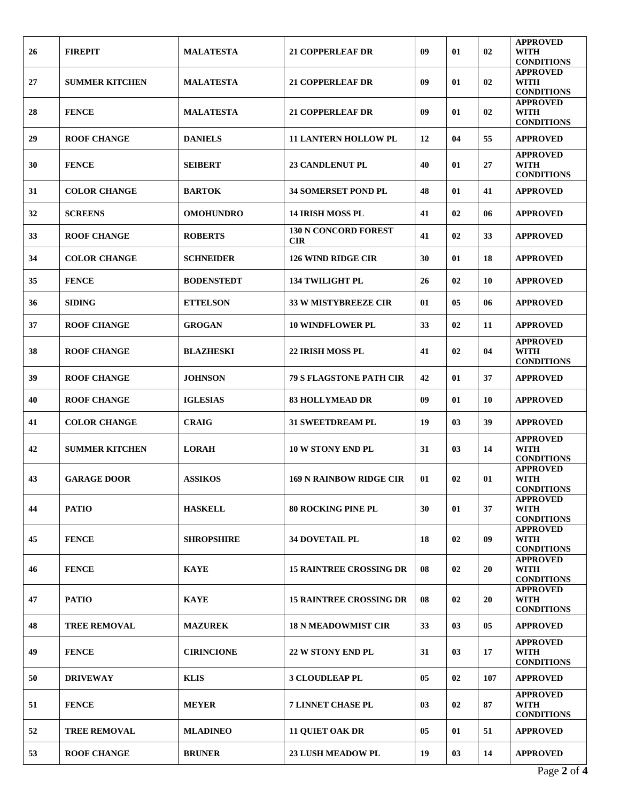| 26 | <b>FIREPIT</b>        | <b>MALATESTA</b>  | <b>21 COPPERLEAF DR</b>                   | 09 | 01             | 02  | <b>APPROVED</b><br>WITH<br><b>CONDITIONS</b>        |
|----|-----------------------|-------------------|-------------------------------------------|----|----------------|-----|-----------------------------------------------------|
| 27 | <b>SUMMER KITCHEN</b> | <b>MALATESTA</b>  | <b>21 COPPERLEAF DR</b>                   | 09 | 01             | 02  | <b>APPROVED</b><br>WITH<br><b>CONDITIONS</b>        |
| 28 | <b>FENCE</b>          | <b>MALATESTA</b>  | <b>21 COPPERLEAF DR</b>                   | 09 | 01             | 02  | <b>APPROVED</b><br>WITH<br><b>CONDITIONS</b>        |
| 29 | <b>ROOF CHANGE</b>    | <b>DANIELS</b>    | <b>11 LANTERN HOLLOW PL</b>               | 12 | 04             | 55  | <b>APPROVED</b>                                     |
| 30 | <b>FENCE</b>          | <b>SEIBERT</b>    | <b>23 CANDLENUT PL</b>                    | 40 | 01             | 27  | <b>APPROVED</b><br><b>WITH</b><br><b>CONDITIONS</b> |
| 31 | <b>COLOR CHANGE</b>   | <b>BARTOK</b>     | <b>34 SOMERSET POND PL</b>                | 48 | 01             | 41  | <b>APPROVED</b>                                     |
| 32 | <b>SCREENS</b>        | <b>OMOHUNDRO</b>  | <b>14 IRISH MOSS PL</b>                   | 41 | 02             | 06  | <b>APPROVED</b>                                     |
| 33 | <b>ROOF CHANGE</b>    | <b>ROBERTS</b>    | <b>130 N CONCORD FOREST</b><br><b>CIR</b> | 41 | 02             | 33  | <b>APPROVED</b>                                     |
| 34 | <b>COLOR CHANGE</b>   | <b>SCHNEIDER</b>  | <b>126 WIND RIDGE CIR</b>                 | 30 | 01             | 18  | <b>APPROVED</b>                                     |
| 35 | <b>FENCE</b>          | <b>BODENSTEDT</b> | <b>134 TWILIGHT PL</b>                    | 26 | 02             | 10  | <b>APPROVED</b>                                     |
| 36 | <b>SIDING</b>         | <b>ETTELSON</b>   | <b>33 W MISTYBREEZE CIR</b>               | 01 | 05             | 06  | <b>APPROVED</b>                                     |
| 37 | <b>ROOF CHANGE</b>    | <b>GROGAN</b>     | <b>10 WINDFLOWER PL</b>                   | 33 | 02             | 11  | <b>APPROVED</b>                                     |
| 38 | <b>ROOF CHANGE</b>    | <b>BLAZHESKI</b>  | <b>22 IRISH MOSS PL</b>                   | 41 | 02             | 04  | <b>APPROVED</b><br><b>WITH</b><br><b>CONDITIONS</b> |
| 39 | <b>ROOF CHANGE</b>    | <b>JOHNSON</b>    | <b>79 S FLAGSTONE PATH CIR</b>            | 42 | 01             | 37  | <b>APPROVED</b>                                     |
| 40 | <b>ROOF CHANGE</b>    | <b>IGLESIAS</b>   | <b>83 HOLLYMEAD DR</b>                    | 09 | 01             | 10  | <b>APPROVED</b>                                     |
| 41 | <b>COLOR CHANGE</b>   | <b>CRAIG</b>      | <b>31 SWEETDREAM PL</b>                   | 19 | 0 <sub>3</sub> | 39  | <b>APPROVED</b>                                     |
| 42 | <b>SUMMER KITCHEN</b> | <b>LORAH</b>      | <b>10 W STONY END PL</b>                  | 31 | 03             | 14  | <b>APPROVED</b><br><b>WITH</b><br><b>CONDITIONS</b> |
| 43 | <b>GARAGE DOOR</b>    | <b>ASSIKOS</b>    | <b>169 N RAINBOW RIDGE CIR</b>            | 01 | 02             | 01  | <b>APPROVED</b><br>WITH<br><b>CONDITIONS</b>        |
| 44 | <b>PATIO</b>          | <b>HASKELL</b>    | <b>80 ROCKING PINE PL</b>                 | 30 | 01             | 37  | <b>APPROVED</b><br><b>WITH</b><br><b>CONDITIONS</b> |
| 45 | <b>FENCE</b>          | <b>SHROPSHIRE</b> | <b>34 DOVETAIL PL</b>                     | 18 | 02             | 09  | <b>APPROVED</b><br><b>WITH</b><br><b>CONDITIONS</b> |
| 46 | <b>FENCE</b>          | <b>KAYE</b>       | <b>15 RAINTREE CROSSING DR</b>            | 08 | 02             | 20  | <b>APPROVED</b><br><b>WITH</b><br><b>CONDITIONS</b> |
| 47 | <b>PATIO</b>          | <b>KAYE</b>       | <b>15 RAINTREE CROSSING DR</b>            | 08 | 02             | 20  | <b>APPROVED</b><br>WITH<br><b>CONDITIONS</b>        |
| 48 | <b>TREE REMOVAL</b>   | <b>MAZUREK</b>    | <b>18 N MEADOWMIST CIR</b>                | 33 | 03             | 05  | <b>APPROVED</b>                                     |
| 49 | <b>FENCE</b>          | <b>CIRINCIONE</b> | 22 W STONY END PL                         | 31 | 03             | 17  | <b>APPROVED</b><br><b>WITH</b><br><b>CONDITIONS</b> |
| 50 | <b>DRIVEWAY</b>       | <b>KLIS</b>       | <b>3 CLOUDLEAP PL</b>                     | 05 | 02             | 107 | <b>APPROVED</b>                                     |
| 51 | <b>FENCE</b>          | <b>MEYER</b>      | <b>7 LINNET CHASE PL</b>                  | 03 | 02             | 87  | <b>APPROVED</b><br><b>WITH</b><br><b>CONDITIONS</b> |
| 52 | <b>TREE REMOVAL</b>   | <b>MLADINEO</b>   | <b>11 QUIET OAK DR</b>                    | 05 | 01             | 51  | <b>APPROVED</b>                                     |
| 53 | <b>ROOF CHANGE</b>    | <b>BRUNER</b>     | <b>23 LUSH MEADOW PL</b>                  | 19 | 03             | 14  | <b>APPROVED</b>                                     |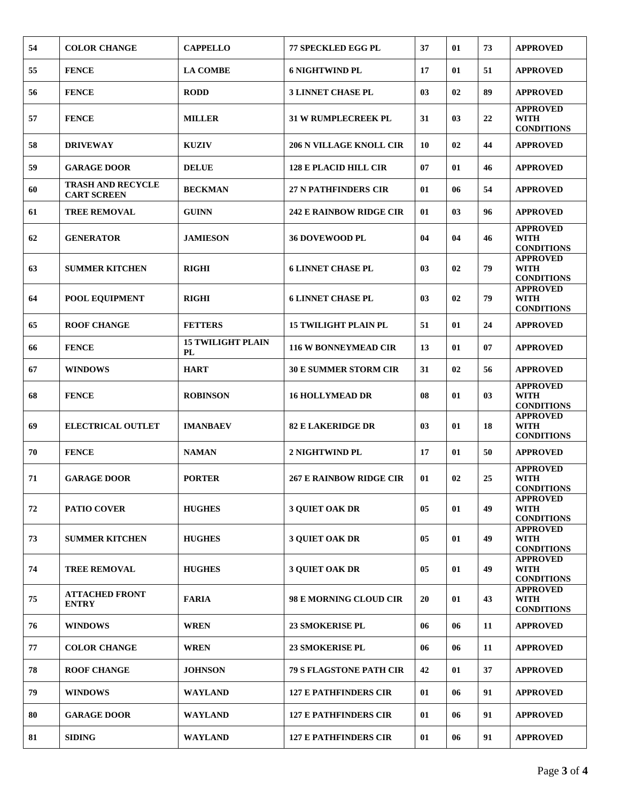| 54 | <b>COLOR CHANGE</b>                            | <b>CAPPELLO</b>                       | <b>77 SPECKLED EGG PL</b>      | 37 | 01 | 73 | <b>APPROVED</b>                                     |
|----|------------------------------------------------|---------------------------------------|--------------------------------|----|----|----|-----------------------------------------------------|
| 55 | <b>FENCE</b>                                   | <b>LA COMBE</b>                       | <b>6 NIGHTWIND PL</b>          | 17 | 01 | 51 | <b>APPROVED</b>                                     |
| 56 | <b>FENCE</b>                                   | <b>RODD</b>                           | <b>3 LINNET CHASE PL</b>       | 03 | 02 | 89 | <b>APPROVED</b>                                     |
| 57 | <b>FENCE</b>                                   | <b>MILLER</b>                         | <b>31 W RUMPLECREEK PL</b>     | 31 | 03 | 22 | <b>APPROVED</b><br><b>WITH</b><br><b>CONDITIONS</b> |
| 58 | <b>DRIVEWAY</b>                                | <b>KUZIV</b>                          | <b>206 N VILLAGE KNOLL CIR</b> | 10 | 02 | 44 | <b>APPROVED</b>                                     |
| 59 | <b>GARAGE DOOR</b>                             | <b>DELUE</b>                          | <b>128 E PLACID HILL CIR</b>   | 07 | 01 | 46 | <b>APPROVED</b>                                     |
| 60 | <b>TRASH AND RECYCLE</b><br><b>CART SCREEN</b> | <b>BECKMAN</b>                        | <b>27 N PATHFINDERS CIR</b>    | 01 | 06 | 54 | <b>APPROVED</b>                                     |
| 61 | <b>TREE REMOVAL</b>                            | <b>GUINN</b>                          | <b>242 E RAINBOW RIDGE CIR</b> | 01 | 03 | 96 | <b>APPROVED</b>                                     |
| 62 | <b>GENERATOR</b>                               | <b>JAMIESON</b>                       | <b>36 DOVEWOOD PL</b>          | 04 | 04 | 46 | <b>APPROVED</b><br><b>WITH</b><br><b>CONDITIONS</b> |
| 63 | <b>SUMMER KITCHEN</b>                          | <b>RIGHI</b>                          | <b>6 LINNET CHASE PL</b>       | 03 | 02 | 79 | <b>APPROVED</b><br><b>WITH</b><br><b>CONDITIONS</b> |
| 64 | POOL EQUIPMENT                                 | <b>RIGHI</b>                          | <b>6 LINNET CHASE PL</b>       | 03 | 02 | 79 | <b>APPROVED</b><br><b>WITH</b><br><b>CONDITIONS</b> |
| 65 | <b>ROOF CHANGE</b>                             | <b>FETTERS</b>                        | <b>15 TWILIGHT PLAIN PL</b>    | 51 | 01 | 24 | <b>APPROVED</b>                                     |
| 66 | <b>FENCE</b>                                   | <b>15 TWILIGHT PLAIN</b><br><b>PL</b> | <b>116 W BONNEYMEAD CIR</b>    | 13 | 01 | 07 | <b>APPROVED</b>                                     |
| 67 | <b>WINDOWS</b>                                 | <b>HART</b>                           | <b>30 E SUMMER STORM CIR</b>   | 31 | 02 | 56 | <b>APPROVED</b>                                     |
| 68 | <b>FENCE</b>                                   | <b>ROBINSON</b>                       | <b>16 HOLLYMEAD DR</b>         | 08 | 01 | 03 | <b>APPROVED</b><br><b>WITH</b><br><b>CONDITIONS</b> |
| 69 | <b>ELECTRICAL OUTLET</b>                       | <b>IMANBAEV</b>                       | <b>82 E LAKERIDGE DR</b>       | 03 | 01 | 18 | <b>APPROVED</b><br><b>WITH</b><br><b>CONDITIONS</b> |
| 70 | <b>FENCE</b>                                   | <b>NAMAN</b>                          | 2 NIGHTWIND PL                 | 17 | 01 | 50 | <b>APPROVED</b>                                     |
| 71 | <b>GARAGE DOOR</b>                             | <b>PORTER</b>                         | <b>267 E RAINBOW RIDGE CIR</b> | 01 | 02 | 25 | <b>APPROVED</b><br><b>WITH</b><br><b>CONDITIONS</b> |
| 72 | <b>PATIO COVER</b>                             | <b>HUGHES</b>                         | <b>3 QUIET OAK DR</b>          | 05 | 01 | 49 | <b>APPROVED</b><br><b>WITH</b><br><b>CONDITIONS</b> |
| 73 | <b>SUMMER KITCHEN</b>                          | <b>HUGHES</b>                         | 3 QUIET OAK DR                 | 05 | 01 | 49 | <b>APPROVED</b><br><b>WITH</b><br><b>CONDITIONS</b> |
| 74 | <b>TREE REMOVAL</b>                            | <b>HUGHES</b>                         | <b>3 QUIET OAK DR</b>          | 05 | 01 | 49 | <b>APPROVED</b><br><b>WITH</b><br><b>CONDITIONS</b> |
| 75 | <b>ATTACHED FRONT</b><br><b>ENTRY</b>          | <b>FARIA</b>                          | 98 E MORNING CLOUD CIR         | 20 | 01 | 43 | <b>APPROVED</b><br><b>WITH</b><br><b>CONDITIONS</b> |
| 76 | <b>WINDOWS</b>                                 | <b>WREN</b>                           | <b>23 SMOKERISE PL</b>         | 06 | 06 | 11 | <b>APPROVED</b>                                     |
| 77 | <b>COLOR CHANGE</b>                            | <b>WREN</b>                           | <b>23 SMOKERISE PL</b>         | 06 | 06 | 11 | <b>APPROVED</b>                                     |
| 78 | <b>ROOF CHANGE</b>                             | <b>JOHNSON</b>                        | <b>79 S FLAGSTONE PATH CIR</b> | 42 | 01 | 37 | <b>APPROVED</b>                                     |
| 79 | <b>WINDOWS</b>                                 | WAYLAND                               | <b>127 E PATHFINDERS CIR</b>   | 01 | 06 | 91 | <b>APPROVED</b>                                     |
| 80 | <b>GARAGE DOOR</b>                             | <b>WAYLAND</b>                        | <b>127 E PATHFINDERS CIR</b>   | 01 | 06 | 91 | <b>APPROVED</b>                                     |
| 81 | <b>SIDING</b>                                  | <b>WAYLAND</b>                        | <b>127 E PATHFINDERS CIR</b>   | 01 | 06 | 91 | <b>APPROVED</b>                                     |